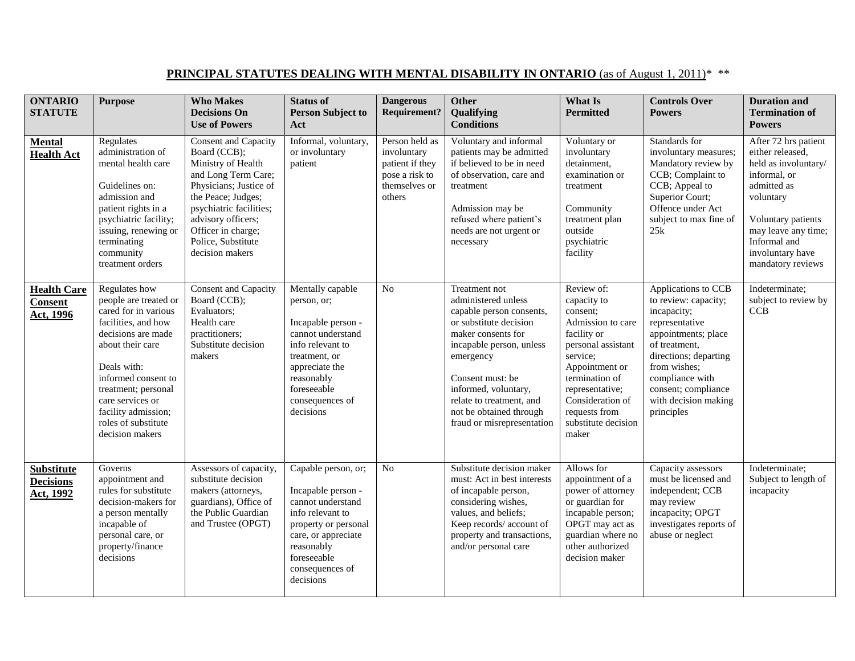## **PRINCIPAL STATUTES DEALING WITH MENTAL DISABILITY IN ONTARIO** (as of August 1, 2011)<sup>\*</sup> \*\*

| <b>ONTARIO</b><br><b>STATUTE</b>                   | <b>Purpose</b>                                                                                                                                                                                                                                                                    | <b>Who Makes</b><br><b>Decisions On</b><br><b>Use of Powers</b>                                                                                                                                                                                   | <b>Status of</b><br><b>Person Subject to</b><br>Act                                                                                                                                            | <b>Dangerous</b><br><b>Requirement?</b>                                                       | <b>Other</b><br>Qualifying<br><b>Conditions</b>                                                                                                                                                                                                                                            | What Is<br><b>Permitted</b>                                                                                                                                                                                                             | <b>Controls Over</b><br><b>Powers</b>                                                                                                                                                                                                         | <b>Duration and</b><br><b>Termination of</b><br><b>Powers</b>                                                                                                                                                      |
|----------------------------------------------------|-----------------------------------------------------------------------------------------------------------------------------------------------------------------------------------------------------------------------------------------------------------------------------------|---------------------------------------------------------------------------------------------------------------------------------------------------------------------------------------------------------------------------------------------------|------------------------------------------------------------------------------------------------------------------------------------------------------------------------------------------------|-----------------------------------------------------------------------------------------------|--------------------------------------------------------------------------------------------------------------------------------------------------------------------------------------------------------------------------------------------------------------------------------------------|-----------------------------------------------------------------------------------------------------------------------------------------------------------------------------------------------------------------------------------------|-----------------------------------------------------------------------------------------------------------------------------------------------------------------------------------------------------------------------------------------------|--------------------------------------------------------------------------------------------------------------------------------------------------------------------------------------------------------------------|
| <b>Mental</b><br><b>Health Act</b>                 | Regulates<br>administration of<br>mental health care<br>Guidelines on:<br>admission and<br>patient rights in a<br>psychiatric facility;<br>issuing, renewing or<br>terminating<br>community<br>treatment orders                                                                   | Consent and Capacity<br>Board (CCB);<br>Ministry of Health<br>and Long Term Care;<br>Physicians; Justice of<br>the Peace; Judges;<br>psychiatric facilities;<br>advisory officers;<br>Officer in charge;<br>Police, Substitute<br>decision makers | Informal, voluntary,<br>or involuntary<br>patient                                                                                                                                              | Person held as<br>involuntary<br>patient if they<br>pose a risk to<br>themselves or<br>others | Voluntary and informal<br>patients may be admitted<br>if believed to be in need<br>of observation, care and<br>treatment<br>Admission may be<br>refused where patient's<br>needs are not urgent or<br>necessary                                                                            | Voluntary or<br>involuntary<br>detainment,<br>examination or<br>treatment<br>Community<br>treatment plan<br>outside<br>psychiatric<br>facility                                                                                          | Standards for<br>involuntary measures;<br>Mandatory review by<br>CCB; Complaint to<br>CCB; Appeal to<br>Superior Court;<br>Offence under Act<br>subject to max fine of<br>25k                                                                 | After 72 hrs patient<br>either released,<br>held as involuntary/<br>informal, or<br>admitted as<br>voluntary<br>Voluntary patients<br>may leave any time;<br>Informal and<br>involuntary have<br>mandatory reviews |
| <b>Health Care</b><br><b>Consent</b><br>Act, 1996  | Regulates how<br>people are treated or<br>cared for in various<br>facilities, and how<br>decisions are made<br>about their care<br>Deals with:<br>informed consent to<br>treatment; personal<br>care services or<br>facility admission;<br>roles of substitute<br>decision makers | Consent and Capacity<br>Board (CCB);<br>Evaluators;<br>Health care<br>practitioners;<br>Substitute decision<br>makers                                                                                                                             | Mentally capable<br>person, or;<br>Incapable person -<br>cannot understand<br>info relevant to<br>treatment, or<br>appreciate the<br>reasonably<br>foreseeable<br>consequences of<br>decisions | N <sub>o</sub>                                                                                | Treatment not<br>administered unless<br>capable person consents,<br>or substitute decision<br>maker consents for<br>incapable person, unless<br>emergency<br>Consent must: be<br>informed, voluntary,<br>relate to treatment, and<br>not be obtained through<br>fraud or misrepresentation | Review of:<br>capacity to<br>consent:<br>Admission to care<br>facility or<br>personal assistant<br>service;<br>Appointment or<br>termination of<br>representative;<br>Consideration of<br>requests from<br>substitute decision<br>maker | Applications to CCB<br>to review: capacity;<br>incapacity;<br>representative<br>appointments; place<br>of treatment.<br>directions; departing<br>from wishes;<br>compliance with<br>consent; compliance<br>with decision making<br>principles | Indeterminate;<br>subject to review by<br>CCB                                                                                                                                                                      |
| <b>Substitute</b><br><b>Decisions</b><br>Act, 1992 | Governs<br>appointment and<br>rules for substitute<br>decision-makers for<br>a person mentally<br>incapable of<br>personal care, or<br>property/finance<br>decisions                                                                                                              | Assessors of capacity,<br>substitute decision<br>makers (attorneys,<br>guardians), Office of<br>the Public Guardian<br>and Trustee (OPGT)                                                                                                         | Capable person, or;<br>Incapable person -<br>cannot understand<br>info relevant to<br>property or personal<br>care, or appreciate<br>reasonably<br>foreseeable<br>consequences of<br>decisions | No                                                                                            | Substitute decision maker<br>must: Act in best interests<br>of incapable person,<br>considering wishes,<br>values, and beliefs;<br>Keep records/account of<br>property and transactions,<br>and/or personal care                                                                           | Allows for<br>appointment of a<br>power of attorney<br>or guardian for<br>incapable person;<br>OPGT may act as<br>guardian where no<br>other authorized<br>decision maker                                                               | Capacity assessors<br>must be licensed and<br>independent; CCB<br>may review<br>incapacity; OPGT<br>investigates reports of<br>abuse or neglect                                                                                               | Indeterminate;<br>Subject to length of<br>incapacity                                                                                                                                                               |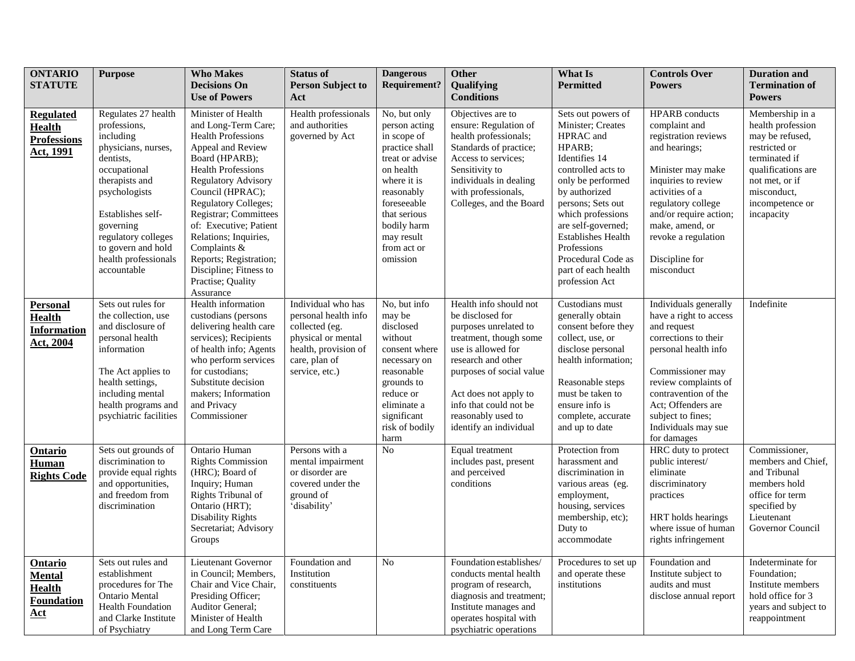| <b>ONTARIO</b><br><b>STATUTE</b>                                             | <b>Purpose</b>                                                                                                                                                                                                                                                | <b>Who Makes</b><br><b>Decisions On</b><br><b>Use of Powers</b>                                                                                                                                                                                                                                                                                                                                               | <b>Status of</b><br><b>Person Subject to</b><br>Act                                                                                           | <b>Dangerous</b><br><b>Requirement?</b>                                                                                                                                                                            | <b>Other</b><br>Qualifying<br><b>Conditions</b>                                                                                                                                                                                                                          | What Is<br><b>Permitted</b>                                                                                                                                                                                                                                                                                            | <b>Controls Over</b><br><b>Powers</b>                                                                                                                                                                                                                                    | <b>Duration and</b><br><b>Termination of</b><br><b>Powers</b>                                                                                                                     |
|------------------------------------------------------------------------------|---------------------------------------------------------------------------------------------------------------------------------------------------------------------------------------------------------------------------------------------------------------|---------------------------------------------------------------------------------------------------------------------------------------------------------------------------------------------------------------------------------------------------------------------------------------------------------------------------------------------------------------------------------------------------------------|-----------------------------------------------------------------------------------------------------------------------------------------------|--------------------------------------------------------------------------------------------------------------------------------------------------------------------------------------------------------------------|--------------------------------------------------------------------------------------------------------------------------------------------------------------------------------------------------------------------------------------------------------------------------|------------------------------------------------------------------------------------------------------------------------------------------------------------------------------------------------------------------------------------------------------------------------------------------------------------------------|--------------------------------------------------------------------------------------------------------------------------------------------------------------------------------------------------------------------------------------------------------------------------|-----------------------------------------------------------------------------------------------------------------------------------------------------------------------------------|
| <b>Regulated</b><br><b>Health</b><br><b>Professions</b><br>Act, 1991         | Regulates 27 health<br>professions,<br>including<br>physicians, nurses,<br>dentists,<br>occupational<br>therapists and<br>psychologists<br>Establishes self-<br>governing<br>regulatory colleges<br>to govern and hold<br>health professionals<br>accountable | Minister of Health<br>and Long-Term Care;<br><b>Health Professions</b><br>Appeal and Review<br>Board (HPARB);<br><b>Health Professions</b><br><b>Regulatory Advisory</b><br>Council (HPRAC);<br><b>Regulatory Colleges;</b><br>Registrar; Committees<br>of: Executive; Patient<br>Relations; Inquiries,<br>Complaints &<br>Reports; Registration;<br>Discipline; Fitness to<br>Practise; Quality<br>Assurance | Health professionals<br>and authorities<br>governed by Act                                                                                    | No, but only<br>person acting<br>in scope of<br>practice shall<br>treat or advise<br>on health<br>where it is<br>reasonably<br>foreseeable<br>that serious<br>bodily harm<br>may result<br>from act or<br>omission | Objectives are to<br>ensure: Regulation of<br>health professionals;<br>Standards of practice;<br>Access to services;<br>Sensitivity to<br>individuals in dealing<br>with professionals,<br>Colleges, and the Board                                                       | Sets out powers of<br>Minister; Creates<br>HPRAC and<br>HPARB;<br>Identifies 14<br>controlled acts to<br>only be performed<br>by authorized<br>persons; Sets out<br>which professions<br>are self-governed;<br><b>Establishes Health</b><br>Professions<br>Procedural Code as<br>part of each health<br>profession Act | <b>HPARB</b> conducts<br>complaint and<br>registration reviews<br>and hearings;<br>Minister may make<br>inquiries to review<br>activities of a<br>regulatory college<br>and/or require action;<br>make, amend, or<br>revoke a regulation<br>Discipline for<br>misconduct | Membership in a<br>health profession<br>may be refused,<br>restricted or<br>terminated if<br>qualifications are<br>not met, or if<br>misconduct,<br>incompetence or<br>incapacity |
| <b>Personal</b><br><b>Health</b><br><b>Information</b><br>Act, 2004          | Sets out rules for<br>the collection, use<br>and disclosure of<br>personal health<br>information<br>The Act applies to<br>health settings,<br>including mental<br>health programs and<br>psychiatric facilities                                               | Health information<br>custodians (persons<br>delivering health care<br>services); Recipients<br>of health info; Agents<br>who perform services<br>for custodians;<br>Substitute decision<br>makers; Information<br>and Privacy<br>Commissioner                                                                                                                                                                | Individual who has<br>personal health info<br>collected (eg.<br>physical or mental<br>health, provision of<br>care, plan of<br>service, etc.) | No, but info<br>may be<br>disclosed<br>without<br>consent where<br>necessary on<br>reasonable<br>grounds to<br>reduce or<br>eliminate a<br>significant<br>risk of bodily<br>harm                                   | Health info should not<br>be disclosed for<br>purposes unrelated to<br>treatment, though some<br>use is allowed for<br>research and other<br>purposes of social value<br>Act does not apply to<br>info that could not be<br>reasonably used to<br>identify an individual | Custodians must<br>generally obtain<br>consent before they<br>collect, use, or<br>disclose personal<br>health information;<br>Reasonable steps<br>must be taken to<br>ensure info is<br>complete, accurate<br>and up to date                                                                                           | Individuals generally<br>have a right to access<br>and request<br>corrections to their<br>personal health info<br>Commissioner may<br>review complaints of<br>contravention of the<br>Act; Offenders are<br>subject to fines;<br>Individuals may sue<br>for damages      | Indefinite                                                                                                                                                                        |
| <b>Ontario</b><br>Human<br><b>Rights Code</b>                                | Sets out grounds of<br>discrimination to<br>provide equal rights<br>and opportunities,<br>and freedom from<br>discrimination                                                                                                                                  | Ontario Human<br><b>Rights Commission</b><br>(HRC); Board of<br>Inquiry; Human<br>Rights Tribunal of<br>Ontario (HRT);<br><b>Disability Rights</b><br>Secretariat; Advisory<br>Groups                                                                                                                                                                                                                         | Persons with a<br>mental impairment<br>or disorder are<br>covered under the<br>ground of<br>'disability'                                      | N <sub>o</sub>                                                                                                                                                                                                     | Equal treatment<br>includes past, present<br>and perceived<br>conditions                                                                                                                                                                                                 | Protection from<br>harassment and<br>discrimination in<br>various areas (eg.<br>employment,<br>housing, services<br>membership, etc);<br>Duty to<br>accommodate                                                                                                                                                        | HRC duty to protect<br>public interest/<br>eliminate<br>discriminatory<br>practices<br>HRT holds hearings<br>where issue of human<br>rights infringement                                                                                                                 | Commissioner,<br>members and Chief,<br>and Tribunal<br>members hold<br>office for term<br>specified by<br>Lieutenant<br>Governor Council                                          |
| <b>Ontario</b><br><b>Mental</b><br><b>Health</b><br>Foundation<br><u>Act</u> | Sets out rules and<br>establishment<br>procedures for The<br>Ontario Mental<br><b>Health Foundation</b><br>and Clarke Institute<br>of Psychiatry                                                                                                              | Lieutenant Governor<br>in Council; Members,<br>Chair and Vice Chair,<br>Presiding Officer;<br>Auditor General;<br>Minister of Health<br>and Long Term Care                                                                                                                                                                                                                                                    | Foundation and<br>Institution<br>constituents                                                                                                 | No                                                                                                                                                                                                                 | Foundation establishes/<br>conducts mental health<br>program of research,<br>diagnosis and treatment;<br>Institute manages and<br>operates hospital with<br>psychiatric operations                                                                                       | Procedures to set up<br>and operate these<br>institutions                                                                                                                                                                                                                                                              | Foundation and<br>Institute subject to<br>audits and must<br>disclose annual report                                                                                                                                                                                      | Indeterminate for<br>Foundation;<br>Institute members<br>hold office for 3<br>years and subject to<br>reappointment                                                               |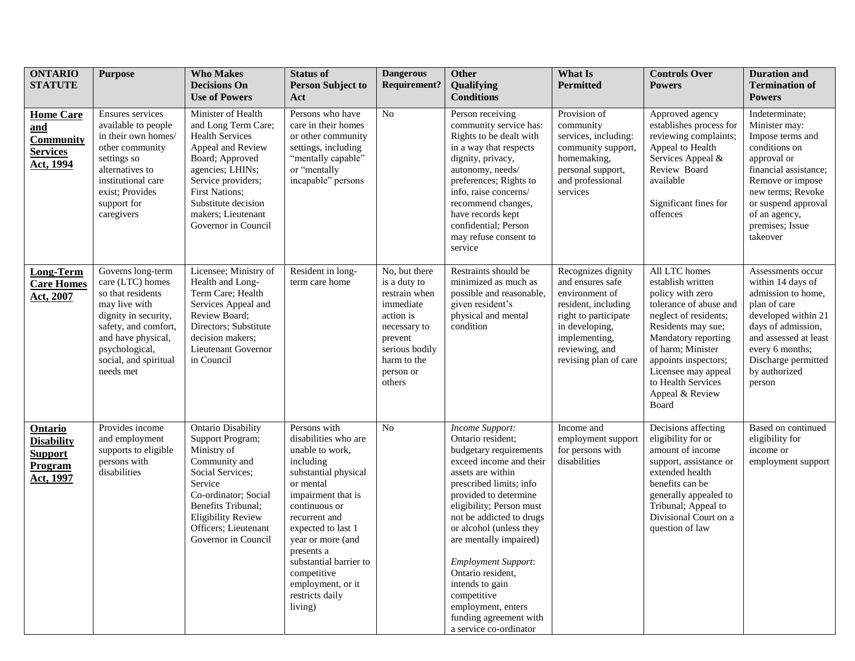| <b>ONTARIO</b><br><b>STATUTE</b>                                              | <b>Purpose</b>                                                                                                                                                                                            | <b>Who Makes</b><br><b>Decisions On</b><br><b>Use of Powers</b>                                                                                                                                                                                    | <b>Status of</b><br><b>Person Subject to</b><br>Act                                                                                                                                                                                                                                                                    | <b>Dangerous</b><br><b>Requirement?</b>                                                                                                                     | <b>Other</b><br>Qualifying<br><b>Conditions</b>                                                                                                                                                                                                                                                                                                                                                                                                | What Is<br><b>Permitted</b>                                                                                                                                                           | <b>Controls Over</b><br><b>Powers</b>                                                                                                                                                                                                                                        | <b>Duration and</b><br><b>Termination of</b><br><b>Powers</b>                                                                                                                                                                |
|-------------------------------------------------------------------------------|-----------------------------------------------------------------------------------------------------------------------------------------------------------------------------------------------------------|----------------------------------------------------------------------------------------------------------------------------------------------------------------------------------------------------------------------------------------------------|------------------------------------------------------------------------------------------------------------------------------------------------------------------------------------------------------------------------------------------------------------------------------------------------------------------------|-------------------------------------------------------------------------------------------------------------------------------------------------------------|------------------------------------------------------------------------------------------------------------------------------------------------------------------------------------------------------------------------------------------------------------------------------------------------------------------------------------------------------------------------------------------------------------------------------------------------|---------------------------------------------------------------------------------------------------------------------------------------------------------------------------------------|------------------------------------------------------------------------------------------------------------------------------------------------------------------------------------------------------------------------------------------------------------------------------|------------------------------------------------------------------------------------------------------------------------------------------------------------------------------------------------------------------------------|
| <b>Home Care</b><br>and<br><b>Community</b><br><b>Services</b><br>Act, 1994   | Ensures services<br>available to people<br>in their own homes/<br>other community<br>settings so<br>alternatives to<br>institutional care<br>exist; Provides<br>support for<br>caregivers                 | Minister of Health<br>and Long Term Care;<br><b>Health Services</b><br>Appeal and Review<br>Board; Approved<br>agencies; LHINs;<br>Service providers;<br><b>First Nations;</b><br>Substitute decision<br>makers; Lieutenant<br>Governor in Council | Persons who have<br>care in their homes<br>or other community<br>settings, including<br>"mentally capable"<br>or "mentally<br>incapable" persons                                                                                                                                                                       | N <sub>o</sub>                                                                                                                                              | Person receiving<br>community service has:<br>Rights to be dealt with<br>in a way that respects<br>dignity, privacy,<br>autonomy, needs/<br>preferences; Rights to<br>info, raise concerns/<br>recommend changes,<br>have records kept<br>confidential; Person<br>may refuse consent to<br>service                                                                                                                                             | Provision of<br>community<br>services, including:<br>community support,<br>homemaking,<br>personal support,<br>and professional<br>services                                           | Approved agency<br>establishes process for<br>reviewing complaints;<br>Appeal to Health<br>Services Appeal &<br>Review Board<br>available<br>Significant fines for<br>offences                                                                                               | Indeterminate;<br>Minister may:<br>Impose terms and<br>conditions on<br>approval or<br>financial assistance;<br>Remove or impose<br>new terms; Revoke<br>or suspend approval<br>of an agency,<br>premises; Issue<br>takeover |
| <b>Long-Term</b><br><b>Care Homes</b><br>Act, 2007                            | Governs long-term<br>care (LTC) homes<br>so that residents<br>may live with<br>dignity in security,<br>safety, and comfort,<br>and have physical,<br>psychological,<br>social, and spiritual<br>needs met | Licensee; Ministry of<br>Health and Long-<br>Term Care; Health<br>Services Appeal and<br>Review Board;<br>Directors; Substitute<br>decision makers;<br>Lieutenant Governor<br>in Council                                                           | Resident in long-<br>term care home                                                                                                                                                                                                                                                                                    | No, but there<br>is a duty to<br>restrain when<br>immediate<br>action is<br>necessary to<br>prevent<br>serious bodily<br>harm to the<br>person or<br>others | Restraints should be<br>minimized as much as<br>possible and reasonable,<br>given resident's<br>physical and mental<br>condition                                                                                                                                                                                                                                                                                                               | Recognizes dignity<br>and ensures safe<br>environment of<br>resident, including<br>right to participate<br>in developing,<br>implementing,<br>reviewing, and<br>revising plan of care | All LTC homes<br>establish written<br>policy with zero<br>tolerance of abuse and<br>neglect of residents;<br>Residents may sue;<br>Mandatory reporting<br>of harm; Minister<br>appoints inspectors;<br>Licensee may appeal<br>to Health Services<br>Appeal & Review<br>Board | Assessments occur<br>within 14 days of<br>admission to home,<br>plan of care<br>developed within 21<br>days of admission,<br>and assessed at least<br>every 6 months;<br>Discharge permitted<br>by authorized<br>person      |
| <b>Ontario</b><br><b>Disability</b><br><b>Support</b><br>Program<br>Act, 1997 | Provides income<br>and employment<br>supports to eligible<br>persons with<br>disabilities                                                                                                                 | <b>Ontario Disability</b><br>Support Program;<br>Ministry of<br>Community and<br>Social Services;<br>Service<br>Co-ordinator; Social<br>Benefits Tribunal;<br><b>Eligibility Review</b><br>Officers; Lieutenant<br>Governor in Council             | Persons with<br>disabilities who are<br>unable to work,<br>including<br>substantial physical<br>or mental<br>impairment that is<br>continuous or<br>recurrent and<br>expected to last 1<br>year or more (and<br>presents a<br>substantial barrier to<br>competitive<br>employment, or it<br>restricts daily<br>living) | N <sub>o</sub>                                                                                                                                              | Income Support:<br>Ontario resident;<br>budgetary requirements<br>exceed income and their<br>assets are within<br>prescribed limits; info<br>provided to determine<br>eligibility; Person must<br>not be addicted to drugs<br>or alcohol (unless they<br>are mentally impaired)<br><b>Employment Support:</b><br>Ontario resident,<br>intends to gain<br>competitive<br>employment, enters<br>funding agreement with<br>a service co-ordinator | Income and<br>employment support<br>for persons with<br>disabilities                                                                                                                  | Decisions affecting<br>eligibility for or<br>amount of income<br>support, assistance or<br>extended health<br>benefits can be<br>generally appealed to<br>Tribunal; Appeal to<br>Divisional Court on a<br>question of law                                                    | Based on continued<br>eligibility for<br>income or<br>employment support                                                                                                                                                     |